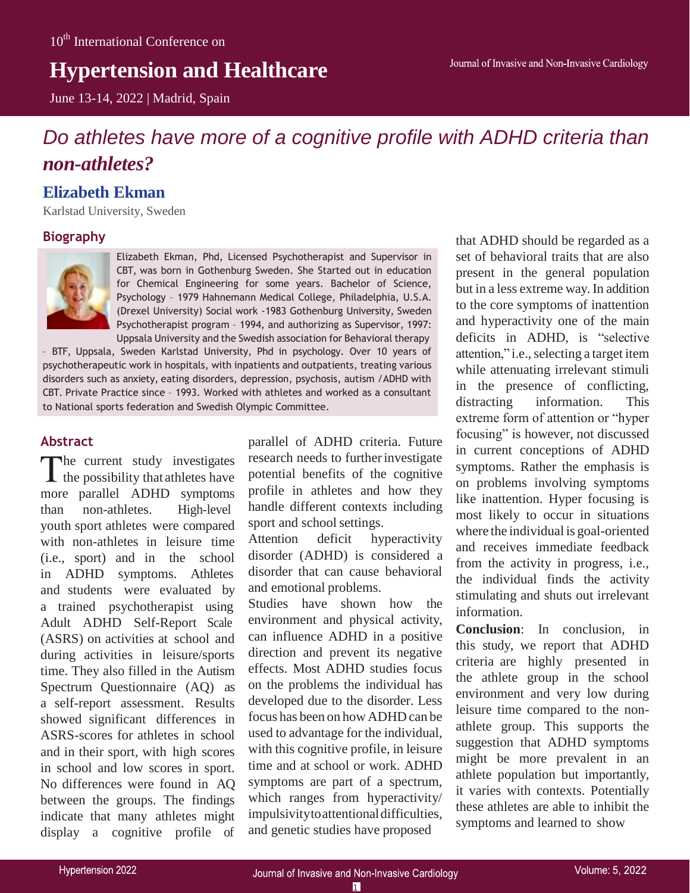# **Hypertension and Healthcare**

June 13-14, 2022 | Madrid, Spain

# *Do athletes have more of a cognitive profile with ADHD criteria than non-athletes?*

# **Elizabeth Ekman**

Karlstad University, Sweden

## **Biography**



Elizabeth Ekman, Phd, Licensed Psychotherapist and Supervisor in CBT, was born in Gothenburg Sweden. She Started out in education for Chemical Engineering for some years. Bachelor of Science, Psychology – 1979 Hahnemann Medical College, Philadelphia, U.S.A. (Drexel University) Social work -1983 Gothenburg University, Sweden Psychotherapist program – 1994, and authorizing as Supervisor, 1997: Uppsala University and the Swedish association for Behavioral therapy

– BTF, Uppsala, Sweden Karlstad University, Phd in psychology. Over 10 years of psychotherapeutic work in hospitals, with inpatients and outpatients, treating various disorders such as anxiety, eating disorders, depression, psychosis, autism /ADHD with CBT. Private Practice since – 1993. Worked with athletes and worked as a consultant to National sports federation and Swedish Olympic Committee.

## **Abstract**

The current study investigates  $\blacktriangle$  the possibility that athletes have more parallel ADHD symptoms than non-athletes. High-level youth sport athletes were compared with non-athletes in leisure time (i.e., sport) and in the school in ADHD symptoms. Athletes and students were evaluated by a trained psychotherapist using Adult ADHD Self-Report Scale (ASRS) on activities at school and during activities in leisure/sports time. They also filled in the Autism Spectrum Questionnaire (AQ) as a self-report assessment. Results showed significant differences in ASRS-scores for athletes in school and in their sport, with high scores in school and low scores in sport. No differences were found in AQ between the groups. The findings indicate that many athletes might display a cognitive profile of

parallel of ADHD criteria. Future research needs to further investigate potential benefits of the cognitive profile in athletes and how they handle different contexts including sport and school settings.

Attention deficit hyperactivity disorder (ADHD) is considered a disorder that can cause behavioral and emotional problems.

Studies have shown how the environment and physical activity, can influence ADHD in a positive direction and prevent its negative effects. Most ADHD studies focus on the problems the individual has developed due to the disorder. Less focus has been on how ADHD can be used to advantage for the individual, with this cognitive profile, in leisure time and at school or work. ADHD symptoms are part of a spectrum, which ranges from hyperactivity/ impulsivitytoattentionaldifficulties, and genetic studies have proposed

that ADHD should be regarded as a set of behavioral traits that are also present in the general population but in a less extreme way. In addition to the core symptoms of inattention and hyperactivity one of the main deficits in ADHD, is "selective attention," i.e., selecting a target item while attenuating irrelevant stimuli in the presence of conflicting, distracting information. This extreme form of attention or "hyper focusing" is however, not discussed in current conceptions of ADHD symptoms. Rather the emphasis is on problems involving symptoms like inattention. Hyper focusing is most likely to occur in situations where the individual is goal-oriented and receives immediate feedback from the activity in progress, i.e., the individual finds the activity stimulating and shuts out irrelevant information.

**Conclusion**: In conclusion, in this study, we report that ADHD criteria are highly presented in the athlete group in the school environment and very low during leisure time compared to the nonathlete group. This supports the suggestion that ADHD symptoms might be more prevalent in an athlete population but importantly, it varies with contexts. Potentially these athletes are able to inhibit the symptoms and learned to show